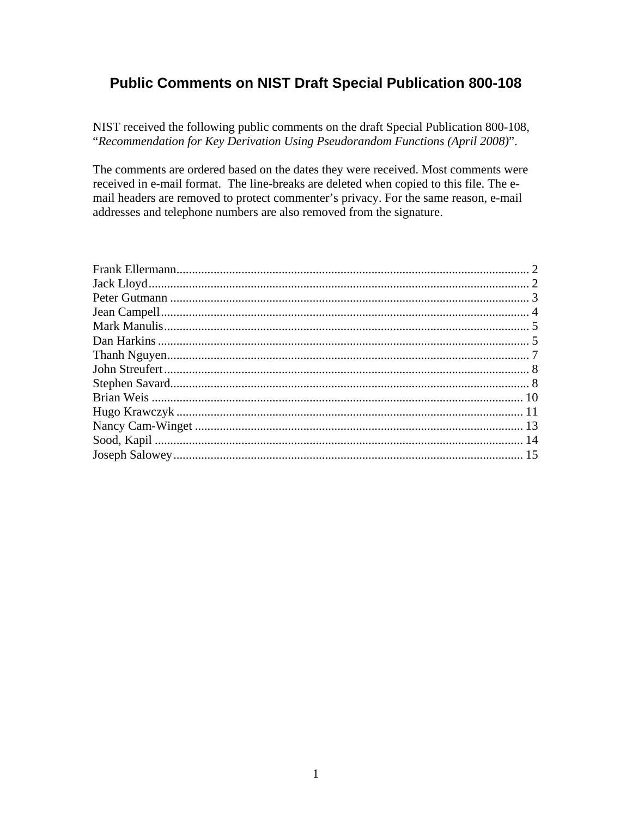# **Public Comments on NIST Draft Special Publication 800-108**

NIST received the following public comments on the draft Special Publication 800-108, "Recommendation for Key Derivation Using Pseudorandom Functions (April 2008)".

The comments are ordered based on the dates they were received. Most comments were received in e-mail format. The line-breaks are deleted when copied to this file. The email headers are removed to protect commenter's privacy. For the same reason, e-mail addresses and telephone numbers are also removed from the signature.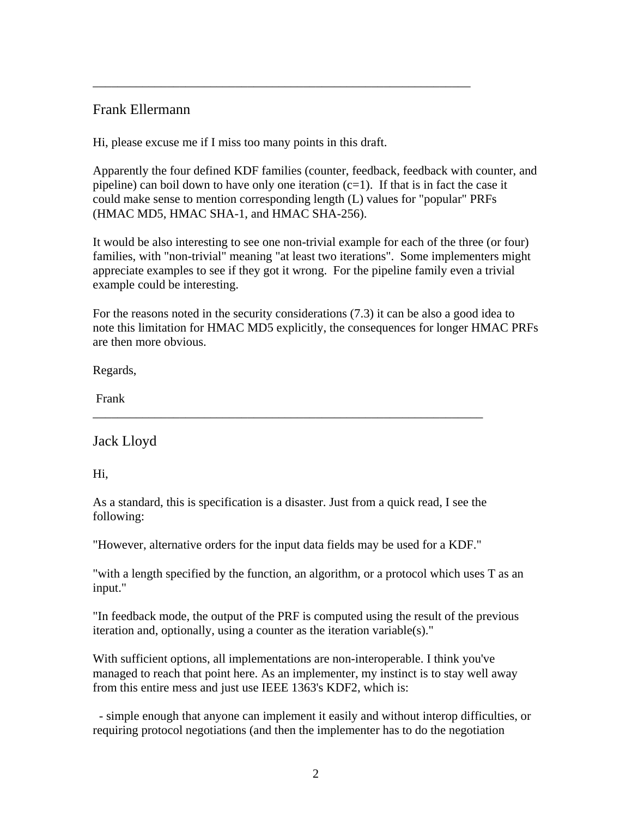# Frank Ellermann

Hi, please excuse me if I miss too many points in this draft.

<span id="page-1-0"></span>\_\_\_\_\_\_\_\_\_\_\_\_\_\_\_\_\_\_\_\_\_\_\_\_\_\_\_\_\_\_\_\_\_\_\_\_\_\_\_\_\_\_\_\_\_\_\_\_\_\_\_\_\_\_\_\_\_\_\_\_\_

Apparently the four defined KDF families (counter, feedback, feedback with counter, and pipeline) can boil down to have only one iteration  $(c=1)$ . If that is in fact the case it could make sense to mention corresponding length (L) values for "popular" PRFs (HMAC MD5, HMAC SHA-1, and HMAC SHA-256).

It would be also interesting to see one non-trivial example for each of the three (or four) families, with "non-trivial" meaning "at least two iterations". Some implementers might appreciate examples to see if they got it wrong. For the pipeline family even a trivial example could be interesting.

For the reasons noted in the security considerations (7.3) it can be also a good idea to note this limitation for HMAC MD5 explicitly, the consequences for longer HMAC PRFs are then more obvious.

Regards,

Frank

Jack Lloyd

Hi,

As a standard, this is specification is a disaster. Just from a quick read, I see the following:

\_\_\_\_\_\_\_\_\_\_\_\_\_\_\_\_\_\_\_\_\_\_\_\_\_\_\_\_\_\_\_\_\_\_\_\_\_\_\_\_\_\_\_\_\_\_\_\_\_\_\_\_\_\_\_\_\_\_\_\_\_\_\_

"However, alternative orders for the input data fields may be used for a KDF."

"with a length specified by the function, an algorithm, or a protocol which uses T as an input."

"In feedback mode, the output of the PRF is computed using the result of the previous iteration and, optionally, using a counter as the iteration variable(s)."

With sufficient options, all implementations are non-interoperable. I think you've managed to reach that point here. As an implementer, my instinct is to stay well away from this entire mess and just use IEEE 1363's KDF2, which is:

 - simple enough that anyone can implement it easily and without interop difficulties, or requiring protocol negotiations (and then the implementer has to do the negotiation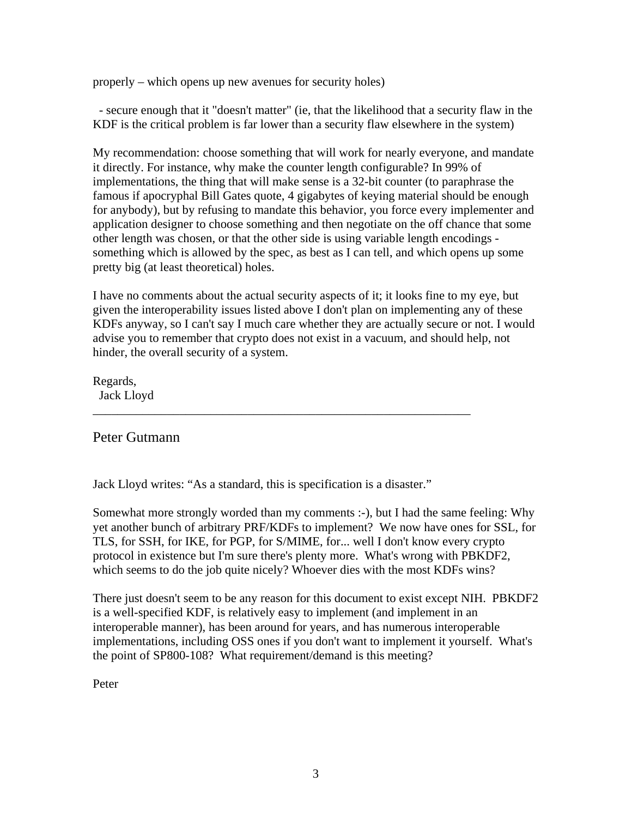<span id="page-2-0"></span>properly – which opens up new avenues for security holes)

 - secure enough that it "doesn't matter" (ie, that the likelihood that a security flaw in the KDF is the critical problem is far lower than a security flaw elsewhere in the system)

My recommendation: choose something that will work for nearly everyone, and mandate it directly. For instance, why make the counter length configurable? In 99% of implementations, the thing that will make sense is a 32-bit counter (to paraphrase the famous if apocryphal Bill Gates quote, 4 gigabytes of keying material should be enough for anybody), but by refusing to mandate this behavior, you force every implementer and application designer to choose something and then negotiate on the off chance that some other length was chosen, or that the other side is using variable length encodings something which is allowed by the spec, as best as I can tell, and which opens up some pretty big (at least theoretical) holes.

I have no comments about the actual security aspects of it; it looks fine to my eye, but given the interoperability issues listed above I don't plan on implementing any of these KDFs anyway, so I can't say I much care whether they are actually secure or not. I would advise you to remember that crypto does not exist in a vacuum, and should help, not hinder, the overall security of a system.

Regards, Jack Lloyd

# Peter Gutmann

Jack Lloyd writes: "As a standard, this is specification is a disaster."

\_\_\_\_\_\_\_\_\_\_\_\_\_\_\_\_\_\_\_\_\_\_\_\_\_\_\_\_\_\_\_\_\_\_\_\_\_\_\_\_\_\_\_\_\_\_\_\_\_\_\_\_\_\_\_\_\_\_\_\_\_

Somewhat more strongly worded than my comments :-), but I had the same feeling: Why yet another bunch of arbitrary PRF/KDFs to implement? We now have ones for SSL, for TLS, for SSH, for IKE, for PGP, for S/MIME, for... well I don't know every crypto protocol in existence but I'm sure there's plenty more. What's wrong with PBKDF2, which seems to do the job quite nicely? Whoever dies with the most KDFs wins?

There just doesn't seem to be any reason for this document to exist except NIH. PBKDF2 is a well-specified KDF, is relatively easy to implement (and implement in an interoperable manner), has been around for years, and has numerous interoperable implementations, including OSS ones if you don't want to implement it yourself. What's the point of SP800-108? What requirement/demand is this meeting?

Peter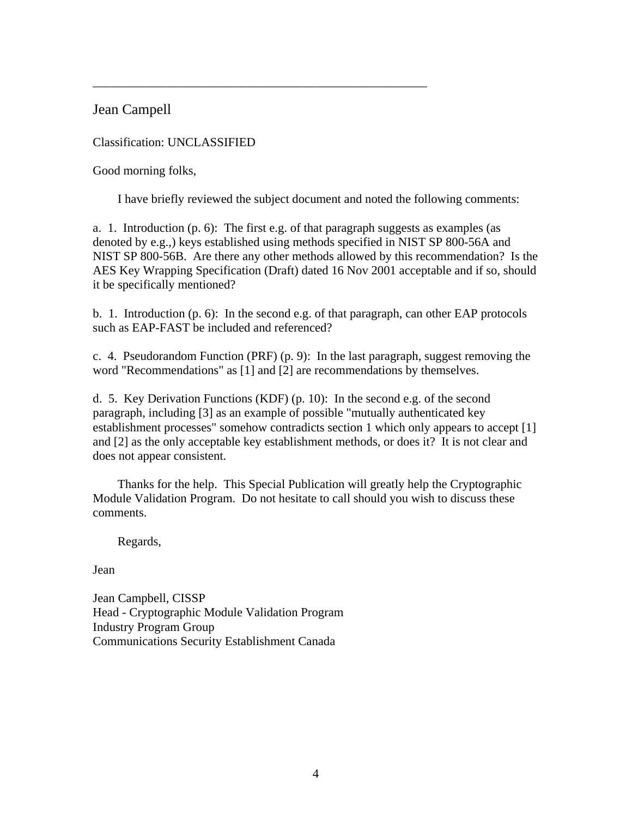Jean Campell

Classification: UNCLASSIFIED

Good morning folks,

I have briefly reviewed the subject document and noted the following comments:

<span id="page-3-0"></span>\_\_\_\_\_\_\_\_\_\_\_\_\_\_\_\_\_\_\_\_\_\_\_\_\_\_\_\_\_\_\_\_\_\_\_\_\_\_\_\_\_\_\_\_\_\_\_\_\_\_\_\_\_\_

a. 1. Introduction  $(p, 6)$ : The first e.g. of that paragraph suggests as examples (as denoted by e.g.,) keys established using methods specified in NIST SP 800-56A and NIST SP 800-56B. Are there any other methods allowed by this recommendation? Is the AES Key Wrapping Specification (Draft) dated 16 Nov 2001 acceptable and if so, should it be specifically mentioned?

b. 1. Introduction  $(p, 6)$ : In the second e.g. of that paragraph, can other EAP protocols such as EAP-FAST be included and referenced?

c. 4. Pseudorandom Function (PRF) (p. 9): In the last paragraph, suggest removing the word "Recommendations" as [1] and [2] are recommendations by themselves.

d. 5. Key Derivation Functions (KDF) (p. 10): In the second e.g. of the second paragraph, including [3] as an example of possible "mutually authenticated key establishment processes" somehow contradicts section 1 which only appears to accept [1] and [2] as the only acceptable key establishment methods, or does it? It is not clear and does not appear consistent.

 Thanks for the help. This Special Publication will greatly help the Cryptographic Module Validation Program. Do not hesitate to call should you wish to discuss these comments.

Regards,

Jean

Jean Campbell, CISSP Head - Cryptographic Module Validation Program Industry Program Group Communications Security Establishment Canada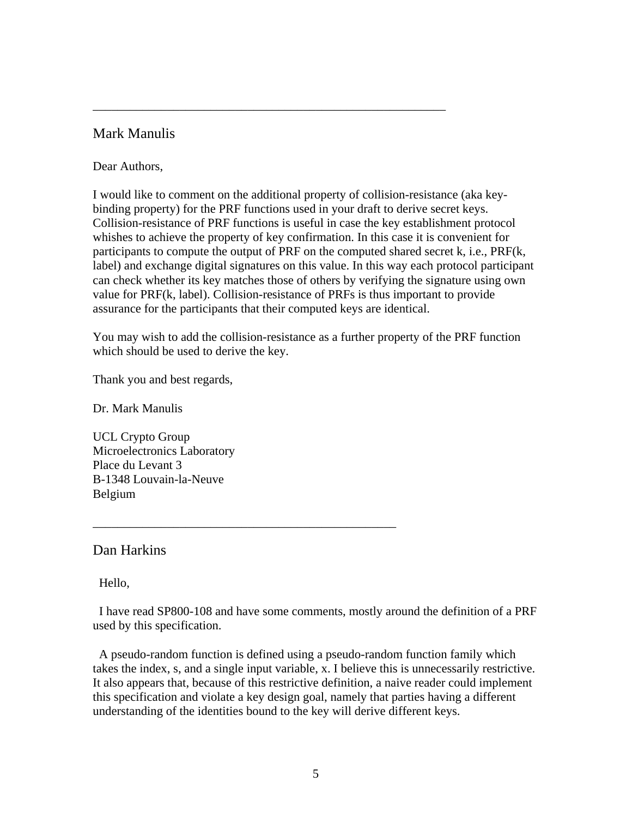# Mark Manulis

### Dear Authors,

I would like to comment on the additional property of collision-resistance (aka keybinding property) for the PRF functions used in your draft to derive secret keys. Collision-resistance of PRF functions is useful in case the key establishment protocol whishes to achieve the property of key confirmation. In this case it is convenient for participants to compute the output of PRF on the computed shared secret k, i.e., PRF(k, label) and exchange digital signatures on this value. In this way each protocol participant can check whether its key matches those of others by verifying the signature using own value for PRF(k, label). Collision-resistance of PRFs is thus important to provide assurance for the participants that their computed keys are identical.

<span id="page-4-0"></span>\_\_\_\_\_\_\_\_\_\_\_\_\_\_\_\_\_\_\_\_\_\_\_\_\_\_\_\_\_\_\_\_\_\_\_\_\_\_\_\_\_\_\_\_\_\_\_\_\_\_\_\_\_\_\_\_\_

You may wish to add the collision-resistance as a further property of the PRF function which should be used to derive the key.

Thank you and best regards,

Dr. Mark Manulis

UCL Crypto Group Microelectronics Laboratory Place du Levant 3 B-1348 Louvain-la-Neuve Belgium

# Dan Harkins

Hello,

 I have read SP800-108 and have some comments, mostly around the definition of a PRF used by this specification.

\_\_\_\_\_\_\_\_\_\_\_\_\_\_\_\_\_\_\_\_\_\_\_\_\_\_\_\_\_\_\_\_\_\_\_\_\_\_\_\_\_\_\_\_\_\_\_\_\_

 A pseudo-random function is defined using a pseudo-random function family which takes the index, s, and a single input variable, x. I believe this is unnecessarily restrictive. It also appears that, because of this restrictive definition, a naive reader could implement this specification and violate a key design goal, namely that parties having a different understanding of the identities bound to the key will derive different keys.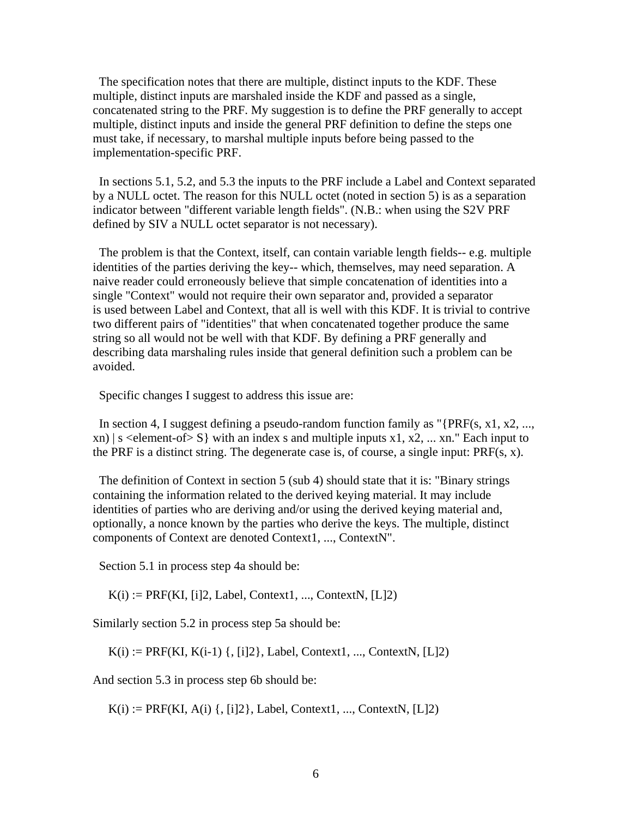The specification notes that there are multiple, distinct inputs to the KDF. These multiple, distinct inputs are marshaled inside the KDF and passed as a single, concatenated string to the PRF. My suggestion is to define the PRF generally to accept multiple, distinct inputs and inside the general PRF definition to define the steps one must take, if necessary, to marshal multiple inputs before being passed to the implementation-specific PRF.

 In sections 5.1, 5.2, and 5.3 the inputs to the PRF include a Label and Context separated by a NULL octet. The reason for this NULL octet (noted in section 5) is as a separation indicator between "different variable length fields". (N.B.: when using the S2V PRF defined by SIV a NULL octet separator is not necessary).

 The problem is that the Context, itself, can contain variable length fields-- e.g. multiple identities of the parties deriving the key-- which, themselves, may need separation. A naive reader could erroneously believe that simple concatenation of identities into a single "Context" would not require their own separator and, provided a separator is used between Label and Context, that all is well with this KDF. It is trivial to contrive two different pairs of "identities" that when concatenated together produce the same string so all would not be well with that KDF. By defining a PRF generally and describing data marshaling rules inside that general definition such a problem can be avoided.

Specific changes I suggest to address this issue are:

In section 4, I suggest defining a pseudo-random function family as "{PRF(s, x1, x2, ..., xn)  $|s \leq 1$  s selement-of  $|S|$  with an index s and multiple inputs x1, x2, ... xn." Each input to the PRF is a distinct string. The degenerate case is, of course, a single input: PRF(s, x).

 The definition of Context in section 5 (sub 4) should state that it is: "Binary strings containing the information related to the derived keying material. It may include identities of parties who are deriving and/or using the derived keying material and, optionally, a nonce known by the parties who derive the keys. The multiple, distinct components of Context are denoted Context1, ..., ContextN".

Section 5.1 in process step 4a should be:

 $K(i) := PRF(KI, [i]2, Label, Context1, ..., ContextN, [L]2)$ 

Similarly section 5.2 in process step 5a should be:

 $K(i) := PRF(KI, K(i-1) \{ , [i]2 \}, Label, Context1, ..., ContextN, [L]2)$ 

And section 5.3 in process step 6b should be:

 $K(i) := PRF(KI, A(i) \{ , [i]2 \}, Label, Context1, ..., ContextN, [L]2)$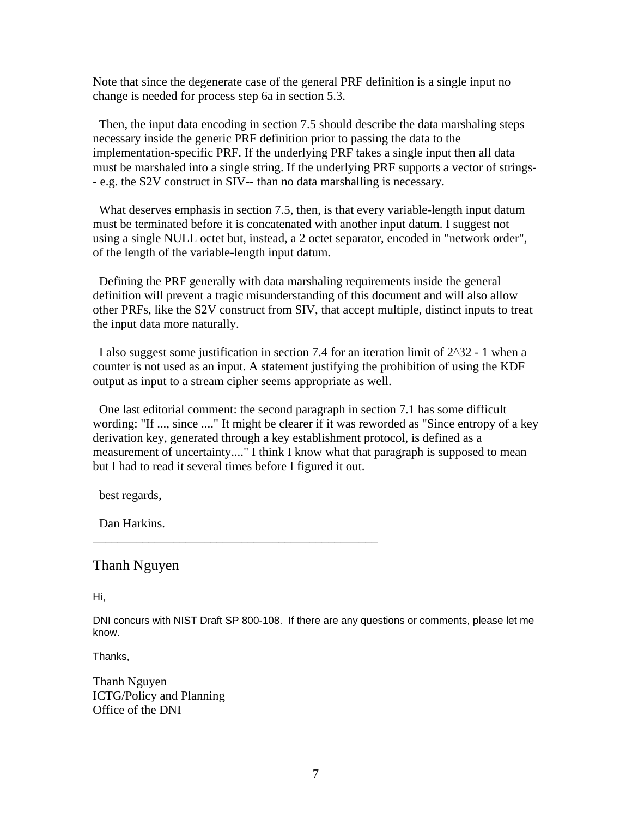<span id="page-6-0"></span>Note that since the degenerate case of the general PRF definition is a single input no change is needed for process step 6a in section 5.3.

 Then, the input data encoding in section 7.5 should describe the data marshaling steps necessary inside the generic PRF definition prior to passing the data to the implementation-specific PRF. If the underlying PRF takes a single input then all data must be marshaled into a single string. If the underlying PRF supports a vector of strings- - e.g. the S2V construct in SIV-- than no data marshalling is necessary.

What deserves emphasis in section 7.5, then, is that every variable-length input datum must be terminated before it is concatenated with another input datum. I suggest not using a single NULL octet but, instead, a 2 octet separator, encoded in "network order", of the length of the variable-length input datum.

 Defining the PRF generally with data marshaling requirements inside the general definition will prevent a tragic misunderstanding of this document and will also allow other PRFs, like the S2V construct from SIV, that accept multiple, distinct inputs to treat the input data more naturally.

 I also suggest some justification in section 7.4 for an iteration limit of 2^32 - 1 when a counter is not used as an input. A statement justifying the prohibition of using the KDF output as input to a stream cipher seems appropriate as well.

 One last editorial comment: the second paragraph in section 7.1 has some difficult wording: "If ..., since ...." It might be clearer if it was reworded as "Since entropy of a key derivation key, generated through a key establishment protocol, is defined as a measurement of uncertainty...." I think I know what that paragraph is supposed to mean but I had to read it several times before I figured it out.

best regards,

Dan Harkins.

# Thanh Nguyen

Hi,

DNI concurs with NIST Draft SP 800-108. If there are any questions or comments, please let me know.

\_\_\_\_\_\_\_\_\_\_\_\_\_\_\_\_\_\_\_\_\_\_\_\_\_\_\_\_\_\_\_\_\_\_\_\_\_\_\_\_\_\_\_\_\_\_

Thanks,

Thanh Nguyen ICTG/Policy and Planning Office of the DNI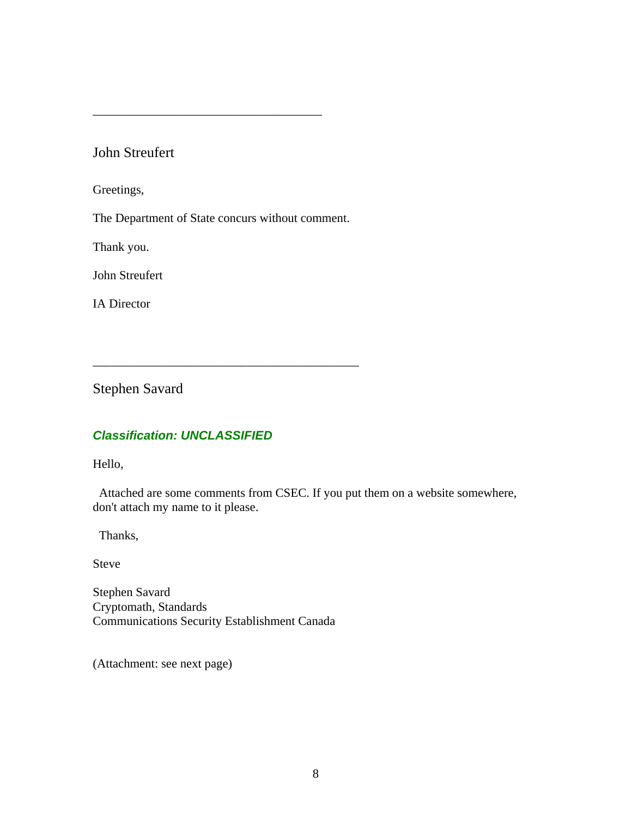# John Streufert

Greetings,

The Department of State concurs without comment.

\_\_\_\_\_\_\_\_\_\_\_\_\_\_\_\_\_\_\_\_\_\_\_\_\_\_\_\_\_\_\_\_\_\_\_\_\_\_\_\_\_\_\_

<span id="page-7-0"></span>\_\_\_\_\_\_\_\_\_\_\_\_\_\_\_\_\_\_\_\_\_\_\_\_\_\_\_\_\_\_\_\_\_\_\_\_\_

Thank you.

John Streufert

IA Director

Stephen Savard

# *Classification: UNCLASSIFIED*

Hello,

 Attached are some comments from CSEC. If you put them on a website somewhere, don't attach my name to it please.

Thanks,

Steve

Stephen Savard Cryptomath, Standards Communications Security Establishment Canada

(Attachment: see next page)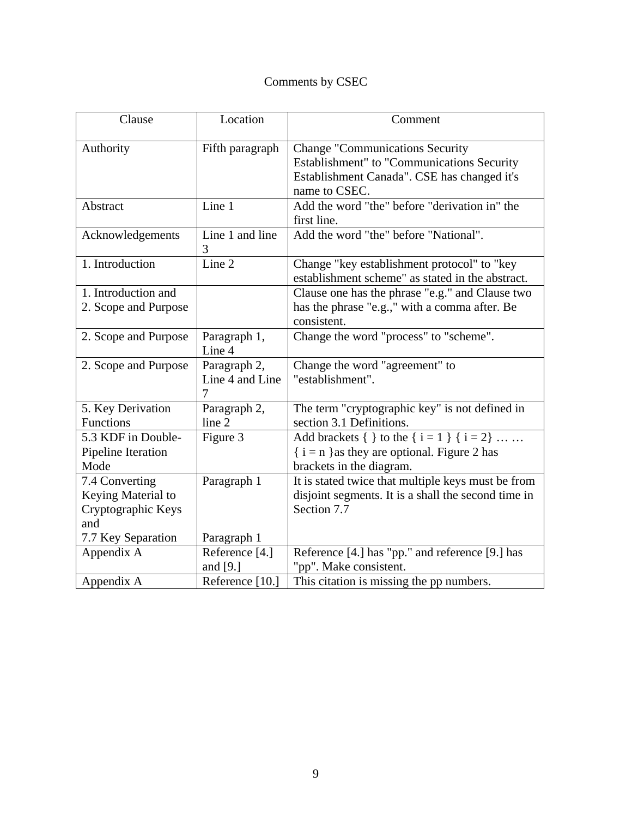# Comments by CSEC

| Clause                                                            | Location                             | Comment                                                                                                                                              |
|-------------------------------------------------------------------|--------------------------------------|------------------------------------------------------------------------------------------------------------------------------------------------------|
| Authority                                                         | Fifth paragraph                      | <b>Change "Communications Security</b><br>Establishment" to "Communications Security<br>Establishment Canada". CSE has changed it's<br>name to CSEC. |
| Abstract                                                          | Line 1                               | Add the word "the" before "derivation in" the<br>first line.                                                                                         |
| Acknowledgements                                                  | Line 1 and line<br>3                 | Add the word "the" before "National".                                                                                                                |
| 1. Introduction                                                   | Line 2                               | Change "key establishment protocol" to "key<br>establishment scheme" as stated in the abstract.                                                      |
| 1. Introduction and<br>2. Scope and Purpose                       |                                      | Clause one has the phrase "e.g." and Clause two<br>has the phrase "e.g.," with a comma after. Be<br>consistent.                                      |
| 2. Scope and Purpose                                              | Paragraph 1,<br>Line 4               | Change the word "process" to "scheme".                                                                                                               |
| 2. Scope and Purpose                                              | Paragraph 2,<br>Line 4 and Line<br>7 | Change the word "agreement" to<br>"establishment".                                                                                                   |
| 5. Key Derivation<br>Functions                                    | Paragraph 2,<br>line 2               | The term "cryptographic key" is not defined in<br>section 3.1 Definitions.                                                                           |
| 5.3 KDF in Double-<br>Pipeline Iteration<br>Mode                  | Figure 3                             | Add brackets { } to the { $i = 1$ } { $i = 2$ }<br>$\{ i = n \}$ as they are optional. Figure 2 has<br>brackets in the diagram.                      |
| 7.4 Converting<br>Keying Material to<br>Cryptographic Keys<br>and | Paragraph 1                          | It is stated twice that multiple keys must be from<br>disjoint segments. It is a shall the second time in<br>Section 7.7                             |
| 7.7 Key Separation                                                | Paragraph 1                          |                                                                                                                                                      |
| Appendix A                                                        | Reference [4.]<br>and $[9.]$         | Reference [4.] has "pp." and reference [9.] has<br>"pp". Make consistent.                                                                            |
| Appendix A                                                        | Reference [10.]                      | This citation is missing the pp numbers.                                                                                                             |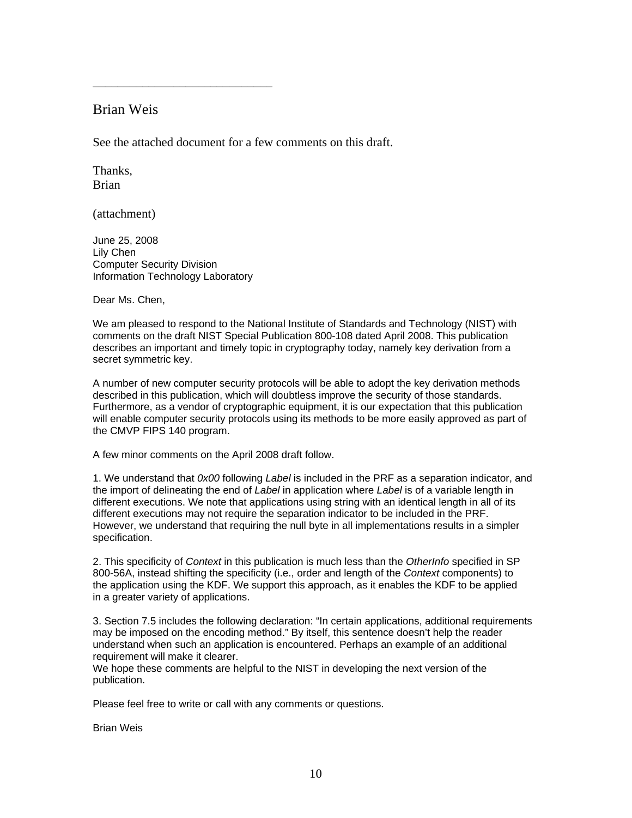## Brian Weis

See the attached document for a few comments on this draft.

Thanks, Brian

(attachment)

June 25, 2008 Lily Chen Computer Security Division Information Technology Laboratory

<span id="page-9-0"></span>\_\_\_\_\_\_\_\_\_\_\_\_\_\_\_\_\_\_\_\_\_\_\_\_\_\_\_\_\_

Dear Ms. Chen,

We am pleased to respond to the National Institute of Standards and Technology (NIST) with comments on the draft NIST Special Publication 800-108 dated April 2008. This publication describes an important and timely topic in cryptography today, namely key derivation from a secret symmetric key.

A number of new computer security protocols will be able to adopt the key derivation methods described in this publication, which will doubtless improve the security of those standards. Furthermore, as a vendor of cryptographic equipment, it is our expectation that this publication will enable computer security protocols using its methods to be more easily approved as part of the CMVP FIPS 140 program.

A few minor comments on the April 2008 draft follow.

1. We understand that *0x00* following *Label* is included in the PRF as a separation indicator, and the import of delineating the end of *Label* in application where *Label* is of a variable length in different executions. We note that applications using string with an identical length in all of its different executions may not require the separation indicator to be included in the PRF. However, we understand that requiring the null byte in all implementations results in a simpler specification.

2. This specificity of *Context* in this publication is much less than the *OtherInfo* specified in SP 800-56A, instead shifting the specificity (i.e., order and length of the *Context* components) to the application using the KDF. We support this approach, as it enables the KDF to be applied in a greater variety of applications.

3. Section 7.5 includes the following declaration: "In certain applications, additional requirements may be imposed on the encoding method." By itself, this sentence doesn't help the reader understand when such an application is encountered. Perhaps an example of an additional requirement will make it clearer.

We hope these comments are helpful to the NIST in developing the next version of the publication.

Please feel free to write or call with any comments or questions.

Brian Weis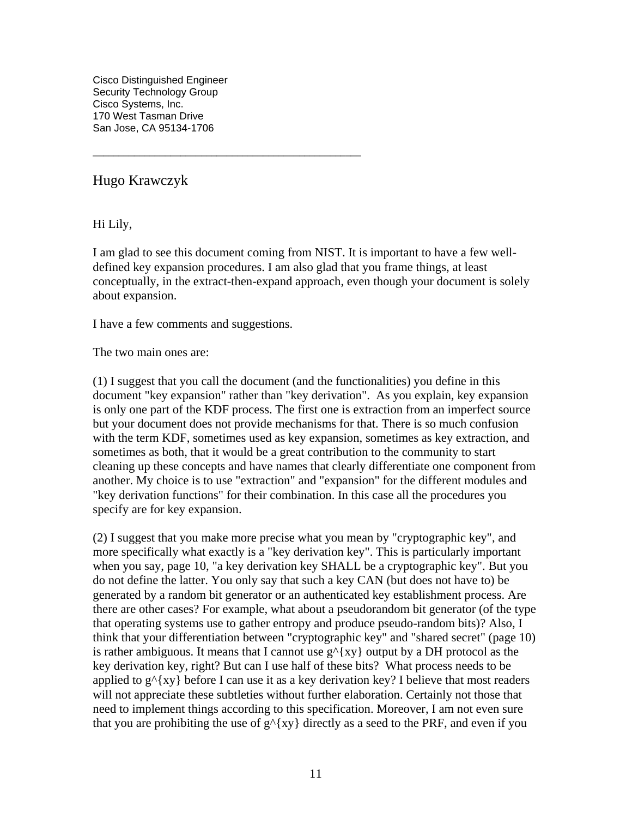<span id="page-10-0"></span>Cisco Distinguished Engineer Security Technology Group Cisco Systems, Inc. 170 West Tasman Drive San Jose, CA 95134-1706

Hugo Krawczyk

Hi Lily,

I am glad to see this document coming from NIST. It is important to have a few welldefined key expansion procedures. I am also glad that you frame things, at least conceptually, in the extract-then-expand approach, even though your document is solely about expansion.

I have a few comments and suggestions.

\_\_\_\_\_\_\_\_\_\_\_\_\_\_\_\_\_\_\_\_\_\_\_\_\_\_\_\_\_\_\_\_\_\_\_\_\_\_\_\_\_\_\_\_\_\_\_\_\_\_\_\_

The two main ones are:

(1) I suggest that you call the document (and the functionalities) you define in this document "key expansion" rather than "key derivation". As you explain, key expansion is only one part of the KDF process. The first one is extraction from an imperfect source but your document does not provide mechanisms for that. There is so much confusion with the term KDF, sometimes used as key expansion, sometimes as key extraction, and sometimes as both, that it would be a great contribution to the community to start cleaning up these concepts and have names that clearly differentiate one component from another. My choice is to use "extraction" and "expansion" for the different modules and "key derivation functions" for their combination. In this case all the procedures you specify are for key expansion.

(2) I suggest that you make more precise what you mean by "cryptographic key", and more specifically what exactly is a "key derivation key". This is particularly important when you say, page 10, "a key derivation key SHALL be a cryptographic key". But you do not define the latter. You only say that such a key CAN (but does not have to) be generated by a random bit generator or an authenticated key establishment process. Are there are other cases? For example, what about a pseudorandom bit generator (of the type that operating systems use to gather entropy and produce pseudo-random bits)? Also, I think that your differentiation between "cryptographic key" and "shared secret" (page 10) is rather ambiguous. It means that I cannot use  $g^{(x)}(xy)$  output by a DH protocol as the key derivation key, right? But can I use half of these bits? What process needs to be applied to  $g^{(x)}$  before I can use it as a key derivation key? I believe that most readers will not appreciate these subtleties without further elaboration. Certainly not those that need to implement things according to this specification. Moreover, I am not even sure that you are prohibiting the use of  $g^{\wedge}$ {xy} directly as a seed to the PRF, and even if you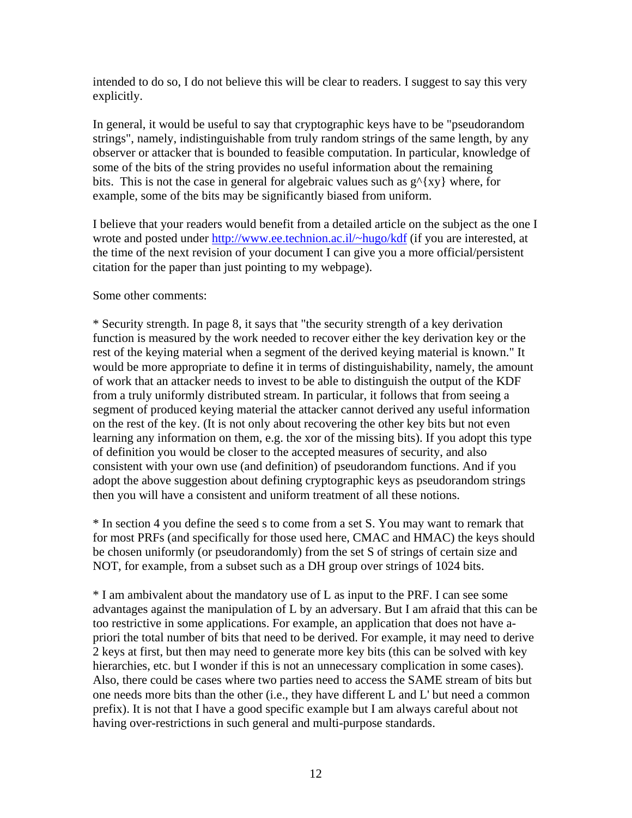intended to do so, I do not believe this will be clear to readers. I suggest to say this very explicitly.

In general, it would be useful to say that cryptographic keys have to be "pseudorandom strings", namely, indistinguishable from truly random strings of the same length, by any observer or attacker that is bounded to feasible computation. In particular, knowledge of some of the bits of the string provides no useful information about the remaining bits. This is not the case in general for algebraic values such as  $g^{\wedge} \{xy\}$  where, for example, some of the bits may be significantly biased from uniform.

I believe that your readers would benefit from a detailed article on the subject as the one I wrote and posted under [http://www.ee.technion.ac.il/~hugo/kdf](http://www.ee.technion.ac.il/%7Ehugo/kdf) (if you are interested, at the time of the next revision of your document I can give you a more official/persistent citation for the paper than just pointing to my webpage).

Some other comments:

\* Security strength. In page 8, it says that "the security strength of a key derivation function is measured by the work needed to recover either the key derivation key or the rest of the keying material when a segment of the derived keying material is known." It would be more appropriate to define it in terms of distinguishability, namely, the amount of work that an attacker needs to invest to be able to distinguish the output of the KDF from a truly uniformly distributed stream. In particular, it follows that from seeing a segment of produced keying material the attacker cannot derived any useful information on the rest of the key. (It is not only about recovering the other key bits but not even learning any information on them, e.g. the xor of the missing bits). If you adopt this type of definition you would be closer to the accepted measures of security, and also consistent with your own use (and definition) of pseudorandom functions. And if you adopt the above suggestion about defining cryptographic keys as pseudorandom strings then you will have a consistent and uniform treatment of all these notions.

\* In section 4 you define the seed s to come from a set S. You may want to remark that for most PRFs (and specifically for those used here, CMAC and HMAC) the keys should be chosen uniformly (or pseudorandomly) from the set S of strings of certain size and NOT, for example, from a subset such as a DH group over strings of 1024 bits.

\* I am ambivalent about the mandatory use of L as input to the PRF. I can see some advantages against the manipulation of L by an adversary. But I am afraid that this can be too restrictive in some applications. For example, an application that does not have apriori the total number of bits that need to be derived. For example, it may need to derive 2 keys at first, but then may need to generate more key bits (this can be solved with key hierarchies, etc. but I wonder if this is not an unnecessary complication in some cases). Also, there could be cases where two parties need to access the SAME stream of bits but one needs more bits than the other (i.e., they have different L and L' but need a common prefix). It is not that I have a good specific example but I am always careful about not having over-restrictions in such general and multi-purpose standards.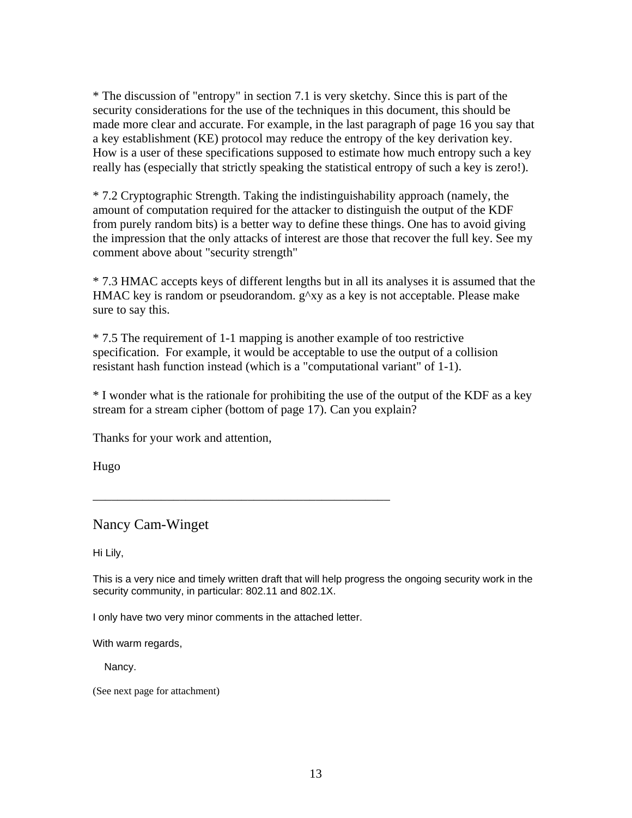<span id="page-12-0"></span>\* The discussion of "entropy" in section 7.1 is very sketchy. Since this is part of the security considerations for the use of the techniques in this document, this should be made more clear and accurate. For example, in the last paragraph of page 16 you say that a key establishment (KE) protocol may reduce the entropy of the key derivation key. How is a user of these specifications supposed to estimate how much entropy such a key really has (especially that strictly speaking the statistical entropy of such a key is zero!).

\* 7.2 Cryptographic Strength. Taking the indistinguishability approach (namely, the amount of computation required for the attacker to distinguish the output of the KDF from purely random bits) is a better way to define these things. One has to avoid giving the impression that the only attacks of interest are those that recover the full key. See my comment above about "security strength"

\* 7.3 HMAC accepts keys of different lengths but in all its analyses it is assumed that the HMAC key is random or pseudorandom. g^xy as a key is not acceptable. Please make sure to say this.

\* 7.5 The requirement of 1-1 mapping is another example of too restrictive specification. For example, it would be acceptable to use the output of a collision resistant hash function instead (which is a "computational variant" of 1-1).

\* I wonder what is the rationale for prohibiting the use of the output of the KDF as a key stream for a stream cipher (bottom of page 17). Can you explain?

Thanks for your work and attention,

Hugo

Nancy Cam-Winget

Hi Lily,

This is a very nice and timely written draft that will help progress the ongoing security work in the security community, in particular: 802.11 and 802.1X.

I only have two very minor comments in the attached letter.

\_\_\_\_\_\_\_\_\_\_\_\_\_\_\_\_\_\_\_\_\_\_\_\_\_\_\_\_\_\_\_\_\_\_\_\_\_\_\_\_\_\_\_\_\_\_\_\_

With warm regards,

Nancy.

(See next page for attachment)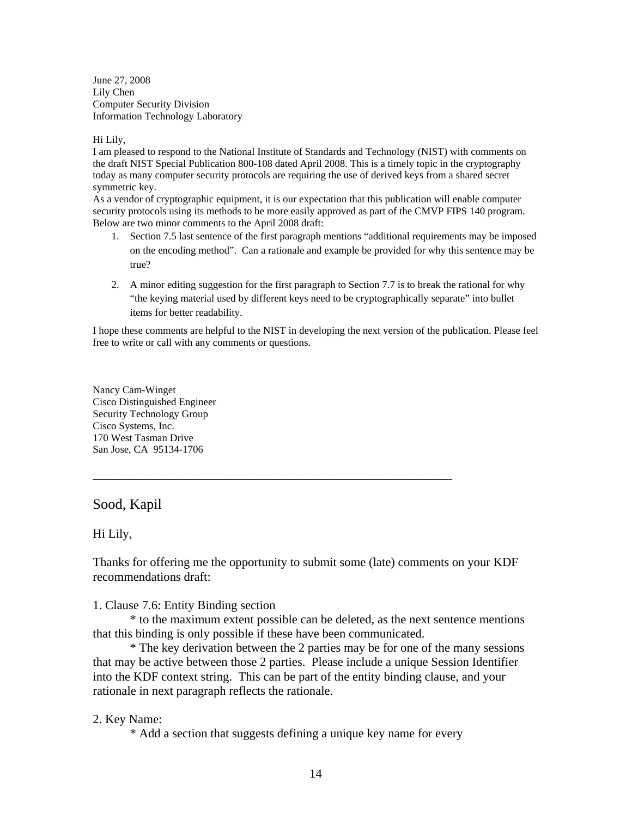<span id="page-13-0"></span>June 27, 2008 Lily Chen Computer Security Division Information Technology Laboratory

#### Hi Lily,

I am pleased to respond to the National Institute of Standards and Technology (NIST) with comments on the draft NIST Special Publication 800-108 dated April 2008. This is a timely topic in the cryptography today as many computer security protocols are requiring the use of derived keys from a shared secret symmetric key.

As a vendor of cryptographic equipment, it is our expectation that this publication will enable computer security protocols using its methods to be more easily approved as part of the CMVP FIPS 140 program. Below are two minor comments to the April 2008 draft:

- 1. Section 7.5 last sentence of the first paragraph mentions "additional requirements may be imposed on the encoding method". Can a rationale and example be provided for why this sentence may be true?
- 2. A minor editing suggestion for the first paragraph to Section 7.7 is to break the rational for why "the keying material used by different keys need to be cryptographically separate" into bullet items for better readability.

I hope these comments are helpful to the NIST in developing the next version of the publication. Please feel free to write or call with any comments or questions.

Nancy Cam-Winget Cisco Distinguished Engineer Security Technology Group Cisco Systems, Inc. 170 West Tasman Drive San Jose, CA 95134-1706

## Sood, Kapil

### Hi Lily,

Thanks for offering me the opportunity to submit some (late) comments on your KDF recommendations draft:

\_\_\_\_\_\_\_\_\_\_\_\_\_\_\_\_\_\_\_\_\_\_\_\_\_\_\_\_\_\_\_\_\_\_\_\_\_\_\_\_\_\_\_\_\_\_\_\_\_\_\_\_\_\_\_\_\_\_

1. Clause 7.6: Entity Binding section

 \* to the maximum extent possible can be deleted, as the next sentence mentions that this binding is only possible if these have been communicated.

 \* The key derivation between the 2 parties may be for one of the many sessions that may be active between those 2 parties. Please include a unique Session Identifier into the KDF context string. This can be part of the entity binding clause, and your rationale in next paragraph reflects the rationale.

## 2. Key Name:

\* Add a section that suggests defining a unique key name for every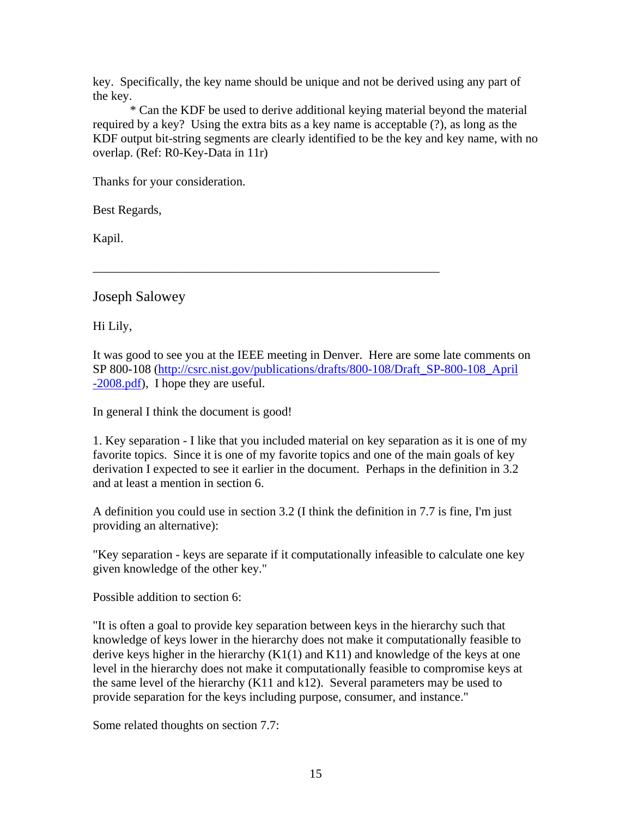<span id="page-14-0"></span>key. Specifically, the key name should be unique and not be derived using any part of the key.

 \* Can the KDF be used to derive additional keying material beyond the material required by a key? Using the extra bits as a key name is acceptable (?), as long as the KDF output bit-string segments are clearly identified to be the key and key name, with no overlap. (Ref: R0-Key-Data in 11r)

Thanks for your consideration.

Best Regards,

Kapil.

Joseph Salowey

Hi Lily,

It was good to see you at the IEEE meeting in Denver. Here are some late comments on SP 800-108 [\(http://csrc.nist.gov/publications/drafts/800-108/Draft\\_SP-800-108\\_April](http://csrc.nist.gov/publications/drafts/800-108/Draft_SP-800-108_April-2008.pdf) [-2008.pdf\)](http://csrc.nist.gov/publications/drafts/800-108/Draft_SP-800-108_April-2008.pdf), I hope they are useful.

\_\_\_\_\_\_\_\_\_\_\_\_\_\_\_\_\_\_\_\_\_\_\_\_\_\_\_\_\_\_\_\_\_\_\_\_\_\_\_\_\_\_\_\_\_\_\_\_\_\_\_\_\_\_\_\_

In general I think the document is good!

1. Key separation - I like that you included material on key separation as it is one of my favorite topics. Since it is one of my favorite topics and one of the main goals of key derivation I expected to see it earlier in the document. Perhaps in the definition in 3.2 and at least a mention in section 6.

A definition you could use in section 3.2 (I think the definition in 7.7 is fine, I'm just providing an alternative):

"Key separation - keys are separate if it computationally infeasible to calculate one key given knowledge of the other key."

Possible addition to section 6:

"It is often a goal to provide key separation between keys in the hierarchy such that knowledge of keys lower in the hierarchy does not make it computationally feasible to derive keys higher in the hierarchy  $(K1(1)$  and  $K11)$  and knowledge of the keys at one level in the hierarchy does not make it computationally feasible to compromise keys at the same level of the hierarchy (K11 and k12). Several parameters may be used to provide separation for the keys including purpose, consumer, and instance."

Some related thoughts on section 7.7: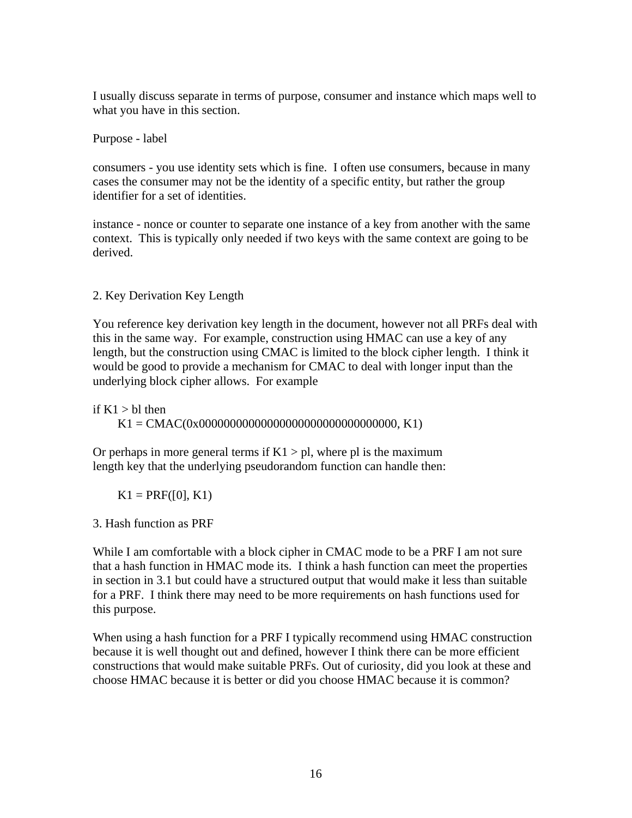I usually discuss separate in terms of purpose, consumer and instance which maps well to what you have in this section.

Purpose - label

consumers - you use identity sets which is fine. I often use consumers, because in many cases the consumer may not be the identity of a specific entity, but rather the group identifier for a set of identities.

instance - nonce or counter to separate one instance of a key from another with the same context. This is typically only needed if two keys with the same context are going to be derived.

2. Key Derivation Key Length

You reference key derivation key length in the document, however not all PRFs deal with this in the same way. For example, construction using HMAC can use a key of any length, but the construction using CMAC is limited to the block cipher length. I think it would be good to provide a mechanism for CMAC to deal with longer input than the underlying block cipher allows. For example

if  $K1 > bl$  then

 $K1 = CMAC(0x0000000000000000000000000000000000, K1)$ 

Or perhaps in more general terms if  $K1 > pl$ , where pl is the maximum length key that the underlying pseudorandom function can handle then:

 $K1 = PRF([0], K1)$ 

3. Hash function as PRF

While I am comfortable with a block cipher in CMAC mode to be a PRF I am not sure that a hash function in HMAC mode its. I think a hash function can meet the properties in section in 3.1 but could have a structured output that would make it less than suitable for a PRF. I think there may need to be more requirements on hash functions used for this purpose.

When using a hash function for a PRF I typically recommend using HMAC construction because it is well thought out and defined, however I think there can be more efficient constructions that would make suitable PRFs. Out of curiosity, did you look at these and choose HMAC because it is better or did you choose HMAC because it is common?